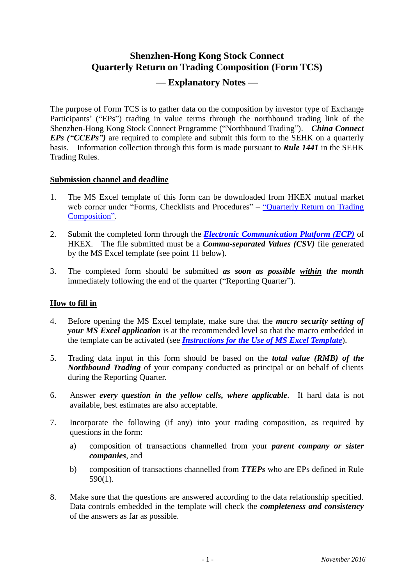# **Shenzhen-Hong Kong Stock Connect Quarterly Return on Trading Composition (Form TCS) — Explanatory Notes —**

The purpose of Form TCS is to gather data on the composition by investor type of Exchange Participants' ("EPs") trading in value terms through the northbound trading link of the Shenzhen-Hong Kong Stock Connect Programme ("Northbound Trading"). *China Connect EPs ("CCEPs")* are required to complete and submit this form to the SEHK on a quarterly basis. Information collection through this form is made pursuant to *Rule 1441* in the SEHK Trading Rules.

#### **Submission channel and deadline**

- 1. The MS Excel template of this form can be downloaded from HKEX mutual market web corner under "Forms, Checklists and Procedures" – "Quarterly Return on Trading" [Composition".](http://www.hkex.com.hk/eng/market/sec_tradinfra/chinaconnect/tcs.htm)
- 2. Submit the completed form through the *[Electronic Communication Platform \(ECP\)](https://www.ecp.hkex.com.hk/)* of HKEX. The file submitted must be a *Comma-separated Values (CSV)* file generated by the MS Excel template (see point 11 below).
- 3. The completed form should be submitted *as soon as possible within the month* immediately following the end of the quarter ("Reporting Quarter").

## **How to fill in**

- 4. Before opening the MS Excel template, make sure that the *macro security setting of your MS Excel application* is at the recommended level so that the macro embedded in the template can be activated (see *[Instructions for the Use of](http://www.hkex.com.hk/eng/market/sec_tradinfra/chinaconnect/Documents/SZHKC_QtrRet_Instructions.pdf) MS Excel Template*).
- 5. Trading data input in this form should be based on the *total value (RMB) of the Northbound Trading* of your company conducted as principal or on behalf of clients during the Reporting Quarter.
- 6. Answer *every question in the yellow cells, where applicable*. If hard data is not available, best estimates are also acceptable.
- 7. Incorporate the following (if any) into your trading composition, as required by questions in the form:
	- a) composition of transactions channelled from your *parent company or sister companies*, and
	- b) composition of transactions channelled from *TTEPs* who are EPs defined in Rule 590(1).
- 8. Make sure that the questions are answered according to the data relationship specified. Data controls embedded in the template will check the *completeness and consistency* of the answers as far as possible.